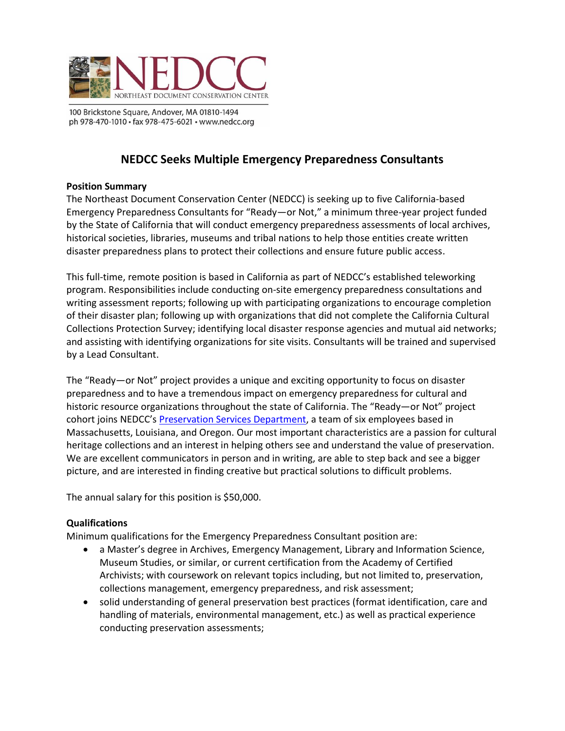

100 Brickstone Square, Andover, MA 01810-1494 ph 978-470-1010 · fax 978-475-6021 · www.nedcc.org

# **NEDCC Seeks Multiple Emergency Preparedness Consultants**

#### **Position Summary**

The Northeast Document Conservation Center (NEDCC) is seeking up to five California-based Emergency Preparedness Consultants for "Ready—or Not," a minimum three-year project funded by the State of California that will conduct emergency preparedness assessments of local archives, historical societies, libraries, museums and tribal nations to help those entities create written disaster preparedness plans to protect their collections and ensure future public access.

This full-time, remote position is based in California as part of NEDCC's established teleworking program. Responsibilities include conducting on-site emergency preparedness consultations and writing assessment reports; following up with participating organizations to encourage completion of their disaster plan; following up with organizations that did not complete the California Cultural Collections Protection Survey; identifying local disaster response agencies and mutual aid networks; and assisting with identifying organizations for site visits. Consultants will be trained and supervised by a Lead Consultant.

The "Ready—or Not" project provides a unique and exciting opportunity to focus on disaster preparedness and to have a tremendous impact on emergency preparedness for cultural and historic resource organizations throughout the state of California. The "Ready—or Not" project cohort joins NEDCC's [Preservation Services Department,](https://www.nedcc.org/assets/media/documents/2021%20PS%20New%20Brochure.pdf) a team of six employees based in Massachusetts, Louisiana, and Oregon. Our most important characteristics are a passion for cultural heritage collections and an interest in helping others see and understand the value of preservation. We are excellent communicators in person and in writing, are able to step back and see a bigger picture, and are interested in finding creative but practical solutions to difficult problems.

The annual salary for this position is \$50,000.

### **Qualifications**

Minimum qualifications for the Emergency Preparedness Consultant position are:

- a Master's degree in Archives, Emergency Management, Library and Information Science, Museum Studies, or similar, or current certification from the Academy of Certified Archivists; with coursework on relevant topics including, but not limited to, preservation, collections management, emergency preparedness, and risk assessment;
- solid understanding of general preservation best practices (format identification, care and handling of materials, environmental management, etc.) as well as practical experience conducting preservation assessments;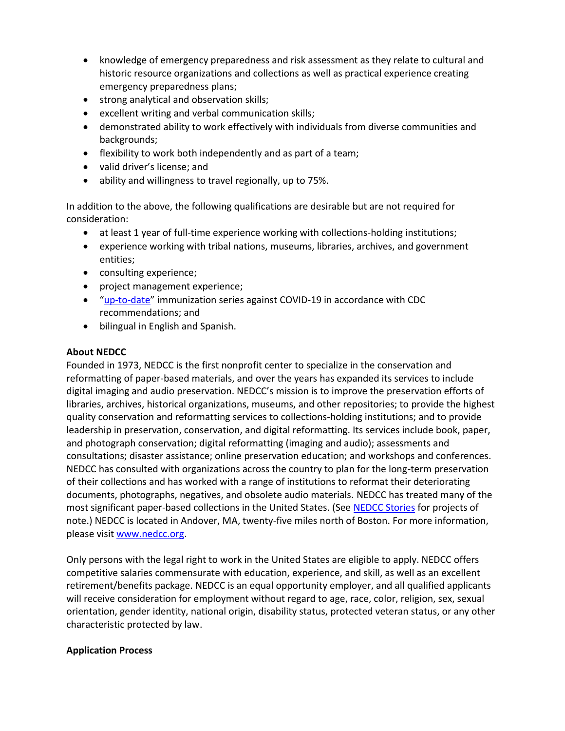- knowledge of emergency preparedness and risk assessment as they relate to cultural and historic resource organizations and collections as well as practical experience creating emergency preparedness plans;
- strong analytical and observation skills;
- excellent writing and verbal communication skills;
- demonstrated ability to work effectively with individuals from diverse communities and backgrounds;
- flexibility to work both independently and as part of a team;
- valid driver's license; and
- ability and willingness to travel regionally, up to 75%.

In addition to the above, the following qualifications are desirable but are not required for consideration:

- at least 1 year of full-time experience working with collections-holding institutions;
- experience working with tribal nations, museums, libraries, archives, and government entities;
- consulting experience;
- project management experience;
- "[up-to-date](https://www.cdc.gov/coronavirus/2019-ncov/vaccines/stay-up-to-date.html#recommendations)" immunization series against COVID-19 in accordance with CDC recommendations; and
- bilingual in English and Spanish.

## **About NEDCC**

Founded in 1973, NEDCC is the first nonprofit center to specialize in the conservation and reformatting of paper-based materials, and over the years has expanded its services to include digital imaging and audio preservation. NEDCC's mission is to improve the preservation efforts of libraries, archives, historical organizations, museums, and other repositories; to provide the highest quality conservation and reformatting services to collections-holding institutions; and to provide leadership in preservation, conservation, and digital reformatting. Its services include book, paper, and photograph conservation; digital reformatting (imaging and audio); assessments and consultations; disaster assistance; online preservation education; and workshops and conferences. NEDCC has consulted with organizations across the country to plan for the long-term preservation of their collections and has worked with a range of institutions to reformat their deteriorating documents, photographs, negatives, and obsolete audio materials. NEDCC has treated many of the most significant paper-based collections in the United States. (See [NEDCC Stories](https://www.nedcc.org/about/nedcc-stories/) for projects of note.) NEDCC is located in Andover, MA, twenty-five miles north of Boston. For more information, please visit [www.nedcc.org.](http://www.nedcc.org/)

Only persons with the legal right to work in the United States are eligible to apply. NEDCC offers competitive salaries commensurate with education, experience, and skill, as well as an excellent retirement/benefits package. NEDCC is an equal opportunity employer, and all qualified applicants will receive consideration for employment without regard to age, race, color, religion, sex, sexual orientation, gender identity, national origin, disability status, protected veteran status, or any other characteristic protected by law.

## **Application Process**